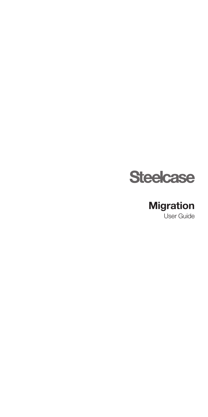

### User Guide Migration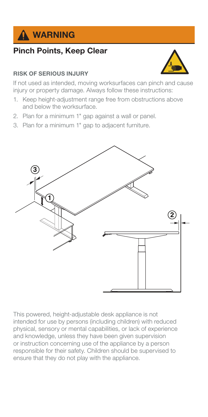

## Pinch Points, Keep Clear

#### RISK OF SERIOUS INJURY

If not used as intended, moving worksurfaces can pinch and cause injury or property damage. Always follow these instructions:

- 1. Keep height-adjustment range free from obstructions above and below the worksurface.
- 2. Plan for a minimum 1" gap against a wall or panel.
- 3. Plan for a minimum 1" gap to adjacent furniture.



This powered, height-adjustable desk appliance is not intended for use by persons (including children) with reduced physical, sensory or mental capabilities, or lack of experience and knowledge, unless they have been given supervision or instruction concerning use of the appliance by a person responsible for their safety. Children should be supervised to ensure that they do not play with the appliance.

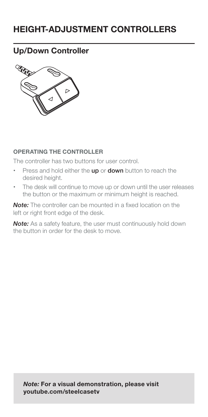# HEIGHT-ADJUSTMENT CONTROLLERS

### Up/Down Controller



#### OPERATING THE CONTROLLER

The controller has two buttons for user control.

- Press and hold either the up or down button to reach the desired height.
- The desk will continue to move up or down until the user releases the button or the maximum or minimum height is reached.

**Note:** The controller can be mounted in a fixed location on the left or right front edge of the desk.

Note: As a safety feature, the user must continuously hold down the button in order for the desk to move.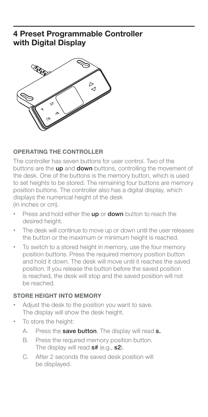### 4 Preset Programmable Controller with Digital Display



#### OPERATING THE CONTROLLER

The controller has seven buttons for user control. Two of the buttons are the up and down buttons, controlling the movement of the desk. One of the buttons is the memory button, which is used to set heights to be stored. The remaining four buttons are memory position buttons. The controller also has a digital display, which displays the numerical height of the desk

(in inches or cm).

- Press and hold either the up or down button to reach the desired height.
- The desk will continue to move up or down until the user releases the button or the maximum or minimum height is reached.
- To switch to a stored height in memory, use the four memory position buttons. Press the required memory position button and hold it down. The desk will move until it reaches the saved position. If you release the button before the saved position is reached, the desk will stop and the saved position will not be reached.

#### STORE HEIGHT INTO MEMORY

- Adjust the desk to the position you want to save. The display will show the desk height.
- To store the height:
	- A. Press the save button. The display will read s.
	- B. Press the required memory position button. The display will read s# (e.g., s2).
	- C. After 2 seconds the saved desk position will be displayed.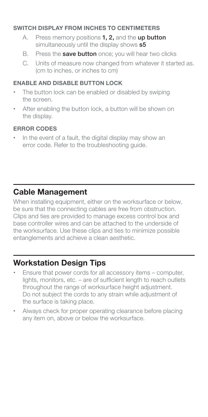#### SWITCH DISPLAY FROM INCHES TO CENTIMETERS

- A. Press memory positions 1, 2, and the up button simultaneously until the display shows  $s5$
- B. Press the **save button** once: you will hear two clicks
- C. Units of measure now changed from whatever it started as. (cm to inches, or inches to cm)

#### ENABLE AND DISABLE BUTTON LOCK

- The button lock can be enabled or disabled by swiping the screen.
- After enabling the button lock, a button will be shown on the display.

#### ERROR CODES

• In the event of a fault, the digital display may show an error code. Refer to the troubleshooting guide.

### Cable Management

When installing equipment, either on the worksurface or below, be sure that the connecting cables are free from obstruction. Clips and ties are provided to manage excess control box and base controller wires and can be attached to the underside of the worksurface. Use these clips and ties to minimize possible entanglements and achieve a clean aesthetic.

### Workstation Design Tips

- Ensure that power cords for all accessory items computer, lights, monitors, etc. – are of sufficient length to reach outlets throughout the range of worksurface height adjustment. Do not subject the cords to any strain while adjustment of the surface is taking place.
- Always check for proper operating clearance before placing any item on, above or below the worksurface.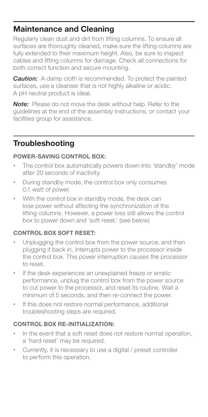### Maintenance and Cleaning

Regularly clean dust and dirt from lifting columns. To ensure all surfaces are thoroughly cleaned, make sure the lifting columns are fully extended to their maximum height. Also, be sure to inspect cables and lifting columns for damage. Check all connections for both correct function and secure mounting.

**Caution:** A damp cloth is recommended. To protect the painted surfaces, use a cleanser that is not highly alkaline or acidic. A pH neutral product is ideal.

Note: Please do not move the desk without help. Refer to the guidelines at the end of the assembly instructions, or contact your facilities group for assistance.

## **Troubleshooting**

#### POWER-SAVING CONTROL BOX:

- The control box automatically powers down into 'standby' mode after 20 seconds of inactivity.
- During standby mode, the control box only consumes 0.1 watt of power.
- With the control box in standby mode, the desk can lose power without affecting the synchronization of the lifting columns. However, a power loss still allows the control box to power down and 'soft reset.' (see below)

### CONTROL BOX SOFT RESET:

- Unplugging the control box from the power source, and then plugging it back in, interrupts power to the processor inside the control box. This power interruption causes the processor to reset.
- If the desk experiences an unexplained freeze or erratic performance, unplug the control box from the power source to cut power to the processor, and reset its routine. Wait a minimum of 5 seconds, and then re-connect the power.
- If this does not restore normal performance, additional troubleshooting steps are required.

#### CONTROL BOX RE-INITIALIZATION:

- In the event that a soft reset does not restore normal operation, a 'hard reset' may be required.
- Currently, it is necessary to use a digital / preset controller to perform this operation.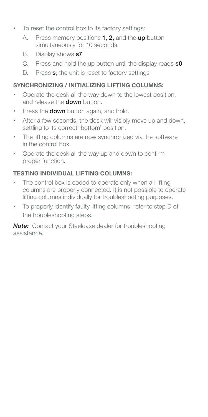- To reset the control box to its factory settings:
	- A. Press memory positions **1, 2,** and the up button simultaneously for 10 seconds
	- B. Display shows **s7**
	- C. Press and hold the up button until the display reads s0
	- D. Press s; the unit is reset to factory settings

### SYNCHRONIZING / INITIALIZING LIFTING COLUMNS:

- Operate the desk all the way down to the lowest position, and release the **down** button.
- Press the **down** button again, and hold.
- After a few seconds, the desk will visibly move up and down, settling to its correct 'bottom' position.
- The lifting columns are now synchronized via the software in the control box.
- Operate the desk all the way up and down to confirm proper function.

### TESTING INDIVIDUAL LIFTING COLUMNS:

- The control box is coded to operate only when all lifting columns are properly connected. It is not possible to operate lifting columns individually for troubleshooting purposes.
- To properly identify faulty lifting columns, refer to step D of the troubleshooting steps.

**Note:** Contact your Steelcase dealer for troubleshooting assistance.